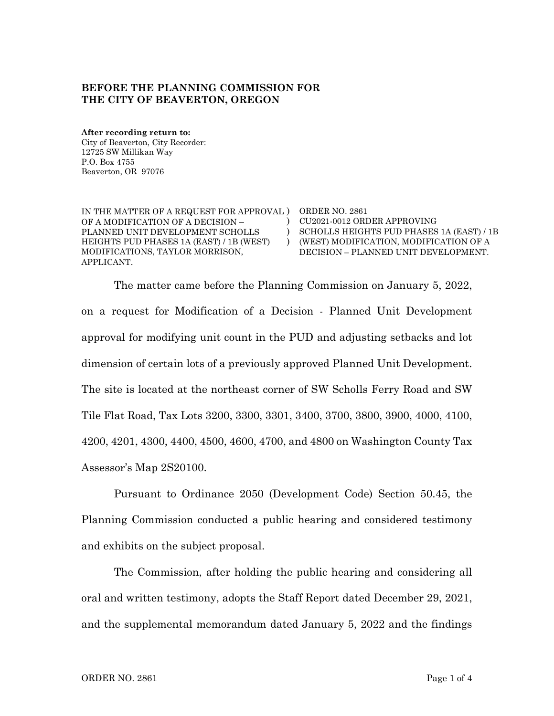## **BEFORE THE PLANNING COMMISSION FOR THE CITY OF BEAVERTON, OREGON**

**After recording return to:** City of Beaverton, City Recorder: 12725 SW Millikan Way P.O. Box 4755 Beaverton, OR 97076

IN THE MATTER OF A REQUEST FOR APPROVAL ) ORDER NO. 2861 OF A MODIFICATION OF A DECISION – PLANNED UNIT DEVELOPMENT SCHOLLS HEIGHTS PUD PHASES 1A (EAST) / 1B (WEST) MODIFICATIONS, TAYLOR MORRISON, APPLICANT.

) CU2021-0012 ORDER APPROVING ) SCHOLLS HEIGHTS PUD PHASES 1A (EAST) / 1B ) (WEST) MODIFICATION, MODIFICATION OF A DECISION – PLANNED UNIT DEVELOPMENT.

The matter came before the Planning Commission on January 5, 2022, on a request for Modification of a Decision - Planned Unit Development approval for modifying unit count in the PUD and adjusting setbacks and lot dimension of certain lots of a previously approved Planned Unit Development. The site is located at the northeast corner of SW Scholls Ferry Road and SW Tile Flat Road, Tax Lots 3200, 3300, 3301, 3400, 3700, 3800, 3900, 4000, 4100, 4200, 4201, 4300, 4400, 4500, 4600, 4700, and 4800 on Washington County Tax Assessor's Map 2S20100.

Pursuant to Ordinance 2050 (Development Code) Section 50.45, the Planning Commission conducted a public hearing and considered testimony and exhibits on the subject proposal.

The Commission, after holding the public hearing and considering all oral and written testimony, adopts the Staff Report dated December 29, 2021, and the supplemental memorandum dated January 5, 2022 and the findings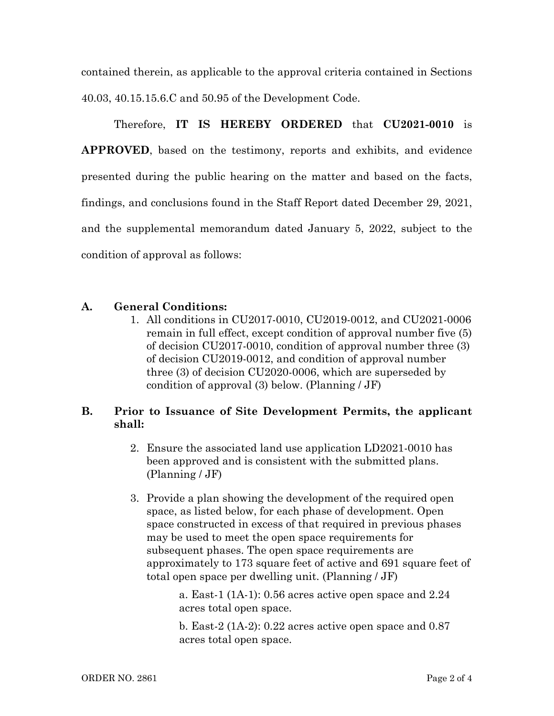contained therein, as applicable to the approval criteria contained in Sections 40.03, 40.15.15.6.C and 50.95 of the Development Code.

Therefore, **IT IS HEREBY ORDERED** that **CU2021-0010** is **APPROVED**, based on the testimony, reports and exhibits, and evidence presented during the public hearing on the matter and based on the facts, findings, and conclusions found in the Staff Report dated December 29, 2021, and the supplemental memorandum dated January 5, 2022, subject to the condition of approval as follows:

## **A. General Conditions:**

1. All conditions in CU2017-0010, CU2019-0012, and CU2021-0006 remain in full effect, except condition of approval number five (5) of decision CU2017-0010, condition of approval number three (3) of decision CU2019-0012, and condition of approval number three (3) of decision CU2020-0006, which are superseded by condition of approval (3) below. (Planning / JF)

## **B. Prior to Issuance of Site Development Permits, the applicant shall:**

- 2. Ensure the associated land use application LD2021-0010 has been approved and is consistent with the submitted plans. (Planning / JF)
- 3. Provide a plan showing the development of the required open space, as listed below, for each phase of development. Open space constructed in excess of that required in previous phases may be used to meet the open space requirements for subsequent phases. The open space requirements are approximately to 173 square feet of active and 691 square feet of total open space per dwelling unit. (Planning / JF)

a. East-1 (1A-1): 0.56 acres active open space and 2.24 acres total open space.

b. East-2 (1A-2): 0.22 acres active open space and 0.87 acres total open space.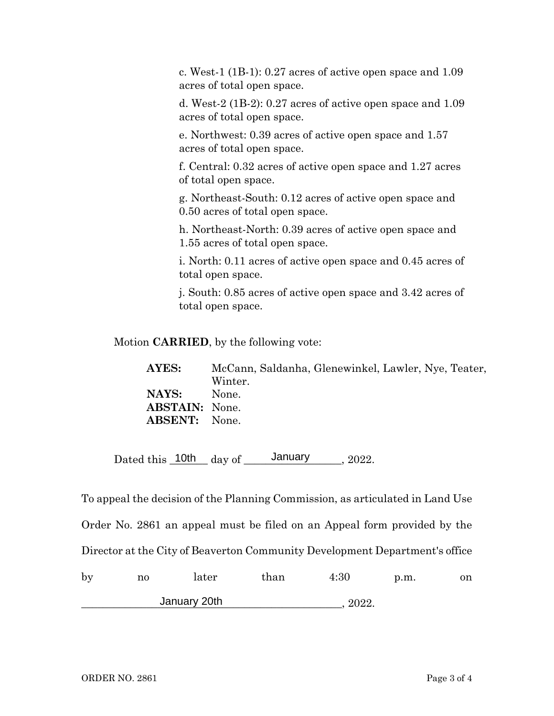c. West-1 (1B-1): 0.27 acres of active open space and 1.09 acres of total open space.

d. West-2 (1B-2): 0.27 acres of active open space and 1.09 acres of total open space.

e. Northwest: 0.39 acres of active open space and 1.57 acres of total open space.

f. Central: 0.32 acres of active open space and 1.27 acres of total open space.

g. Northeast-South: 0.12 acres of active open space and 0.50 acres of total open space.

h. Northeast-North: 0.39 acres of active open space and 1.55 acres of total open space.

i. North: 0.11 acres of active open space and 0.45 acres of total open space.

j. South: 0.85 acres of active open space and 3.42 acres of total open space.

Motion **CARRIED**, by the following vote:

**AYES:** McCann, Saldanha, Glenewinkel, Lawler, Nye, Teater, Winter. **NAYS:** None. **ABSTAIN:** None. **ABSENT:** None.

Dated this  $\frac{10th}{\text{day of}}$  January 2022.

To appeal the decision of the Planning Commission, as articulated in Land Use Order No. 2861 an appeal must be filed on an Appeal form provided by the Director at the City of Beaverton Community Development Department's office

| by | no | later        | than  | $4\mathord{:}30$ | p.m. | on |
|----|----|--------------|-------|------------------|------|----|
|    |    | January 20th | 2022. |                  |      |    |